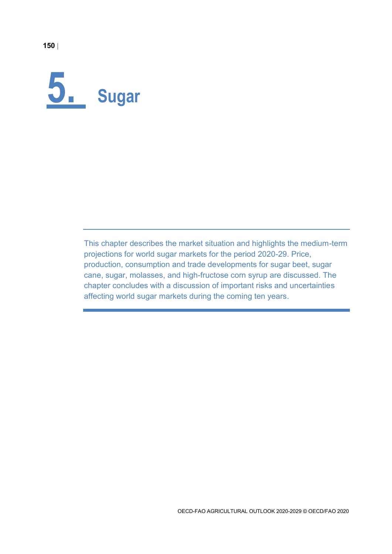

This chapter describes the market situation and highlights the medium-term projections for world sugar markets for the period 2020-29. Price, production, consumption and trade developments for sugar beet, sugar cane, sugar, molasses, and high-fructose corn syrup are discussed. The chapter concludes with a discussion of important risks and uncertainties affecting world sugar markets during the coming ten years.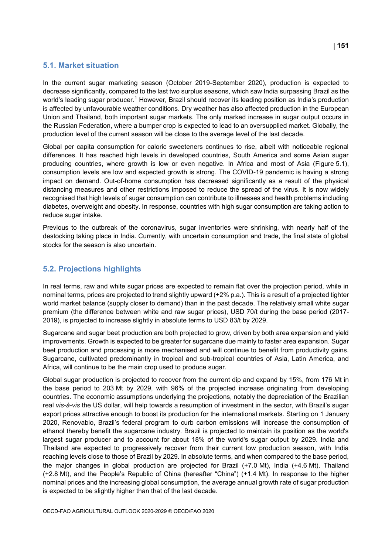## **5.1. Market situation**

In the current sugar marketing season (October 2019-September 2020), production is expected to decrease significantly, compared to the last two surplus seasons, which saw India surpassing Brazil as the world's leading sugar producer.<sup>1</sup> However, Brazil should recover its leading position as India's production is affected by unfavourable weather conditions. Dry weather has also affected production in the European Union and Thailand, both important sugar markets. The only marked increase in sugar output occurs in the Russian Federation, where a bumper crop is expected to lead to an oversupplied market. Globally, the production level of the current season will be close to the average level of the last decade.

Global per capita consumption for caloric sweeteners continues to rise, albeit with noticeable regional differences. It has reached high levels in developed countries, South America and some Asian sugar producing countries, where growth is low or even negative. In Africa and most of Asia [\(Figure](#page-2-0) 5.1), consumption levels are low and expected growth is strong. The COVID-19 pandemic is having a strong impact on demand. Out-of-home consumption has decreased significantly as a result of the physical distancing measures and other restrictions imposed to reduce the spread of the virus. It is now widely recognised that high levels of sugar consumption can contribute to illnesses and health problems including diabetes, overweight and obesity. In response, countries with high sugar consumption are taking action to reduce sugar intake.

Previous to the outbreak of the coronavirus, sugar inventories were shrinking, with nearly half of the destocking taking place in India. Currently, with uncertain consumption and trade, the final state of global stocks for the season is also uncertain.

# **5.2. Projections highlights**

In real terms, raw and white sugar prices are expected to remain flat over the projection period, while in nominal terms, prices are projected to trend slightly upward (+2% p.a.). This is a result of a projected tighter world market balance (supply closer to demand) than in the past decade. The relatively small white sugar premium (the difference between white and raw sugar prices), USD 70/t during the base period (2017- 2019), is projected to increase slightly in absolute terms to USD 83/t by 2029.

Sugarcane and sugar beet production are both projected to grow, driven by both area expansion and yield improvements. Growth is expected to be greater for sugarcane due mainly to faster area expansion. Sugar beet production and processing is more mechanised and will continue to benefit from productivity gains. Sugarcane, cultivated predominantly in tropical and sub-tropical countries of Asia, Latin America, and Africa, will continue to be the main crop used to produce sugar.

Global sugar production is projected to recover from the current dip and expand by 15%, from 176 Mt in the base period to 203 Mt by 2029, with 96% of the projected increase originating from developing countries. The economic assumptions underlying the projections, notably the depreciation of the Brazilian real *vis-à-vis* the US dollar, will help towards a resumption of investment in the sector, with Brazil's sugar export prices attractive enough to boost its production for the international markets. Starting on 1 January 2020, Renovabio, Brazil's federal program to curb carbon emissions will increase the consumption of ethanol thereby benefit the sugarcane industry. Brazil is projected to maintain its position as the world's largest sugar producer and to account for about 18% of the world's sugar output by 2029. India and Thailand are expected to progressively recover from their current low production season, with India reaching levels close to those of Brazil by 2029. In absolute terms, and when compared to the base period, the major changes in global production are projected for Brazil (+7.0 Mt), India (+4.6 Mt), Thailand (+2.8 Mt), and the People's Republic of China (hereafter "China") (+1.4 Mt). In response to the higher nominal prices and the increasing global consumption, the average annual growth rate of sugar production is expected to be slightly higher than that of the last decade.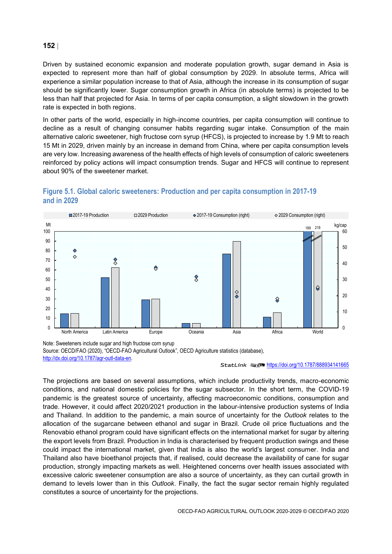Driven by sustained economic expansion and moderate population growth, sugar demand in Asia is expected to represent more than half of global consumption by 2029. In absolute terms, Africa will experience a similar population increase to that of Asia, although the increase in its consumption of sugar should be significantly lower. Sugar consumption growth in Africa (in absolute terms) is projected to be less than half that projected for Asia. In terms of per capita consumption, a slight slowdown in the growth rate is expected in both regions.

In other parts of the world, especially in high-income countries, per capita consumption will continue to decline as a result of changing consumer habits regarding sugar intake. Consumption of the main alternative caloric sweetener, high fructose corn syrup (HFCS), is projected to increase by 1.9 Mt to reach 15 Mt in 2029, driven mainly by an increase in demand from China, where per capita consumption levels are very low. Increasing awareness of the health effects of high levels of consumption of caloric sweeteners reinforced by policy actions will impact consumption trends. Sugar and HFCS will continue to represent about 90% of the sweetener market.

<span id="page-2-0"></span>



Note: Sweeteners include sugar and high fructose corn syrup Source: OECD/FAO (2020), "OECD-FAO Agricultural Outlook", OECD Agriculture statistics (database), [http://dx.doi.org/10.1787/agr-outl-data-en.](http://dx.doi.org/10.1787/agr-outl-data-en) 

#### StatLink **2012** <https://doi.org/10.1787/888934141665>

The projections are based on several assumptions, which include productivity trends, macro-economic conditions, and national domestic policies for the sugar subsector. In the short term, the COVID-19 pandemic is the greatest source of uncertainty, affecting macroeconomic conditions, consumption and trade. However, it could affect 2020/2021 production in the labour-intensive production systems of India and Thailand. In addition to the pandemic, a main source of uncertainty for the *Outlook* relates to the allocation of the sugarcane between ethanol and sugar in Brazil. Crude oil price fluctuations and the Renovabio ethanol program could have significant effects on the international market for sugar by altering the export levels from Brazil. Production in India is characterised by frequent production swings and these could impact the international market, given that India is also the world's largest consumer. India and Thailand also have bioethanol projects that, if realised, could decrease the availability of cane for sugar production, strongly impacting markets as well. Heightened concerns over health issues associated with excessive caloric sweetener consumption are also a source of uncertainty, as they can curtail growth in demand to levels lower than in this *Outlook*. Finally, the fact the sugar sector remain highly regulated constitutes a source of uncertainty for the projections.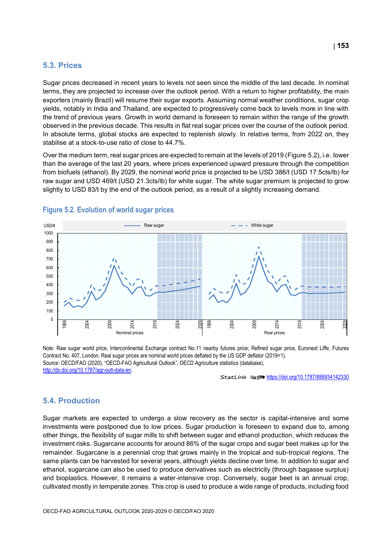### **5.3. Prices**

Sugar prices decreased in recent years to levels not seen since the middle of the last decade. In nominal terms, they are projected to increase over the outlook period. With a return to higher profitability, the main exporters (mainly Brazil) will resume their sugar exports. Assuming normal weather conditions, sugar crop yields, notably in India and Thailand, are expected to progressively come back to levels more in line with the trend of previous years. Growth in world demand is foreseen to remain within the range of the growth observed in the previous decade. This results in flat real sugar prices over the course of the outlook period. In absolute terms, global stocks are expected to replenish slowly. In relative terms, from 2022 on, they stabilise at a stock-to-use ratio of close to 44.7%.

Over the medium term, real sugar prices are expected to remain at the levels of 2019 [\(Figure](#page-3-0) 5.2), i.e. lower than the average of the last 20 years, where prices experienced upward pressure through the competition from biofuels (ethanol). By 2029, the nominal world price is projected to be USD 386/t (USD 17.5cts/lb) for raw sugar and USD 469/t (USD 21.3cts/lb) for white sugar. The white sugar premium is projected to grow slightly to USD 83/t by the end of the outlook period, as a result of a slightly increasing demand.



## <span id="page-3-0"></span>**Figure 5.2. Evolution of world sugar prices**

Note: Raw sugar world price, Intercontinental Exchange contract No.11 nearby futures price; Refined sugar price, Euronext Liffe, Futures Contract No. 407, London. Real sugar prices are nominal world prices deflated by the US GDP deflator (2019=1). Source: OECD/FAO (2020), "OECD-FAO Agricultural Outlook", OECD Agriculture statistics (database), [http://dx.doi.org/10.1787/agr-outl-data-en.](http://dx.doi.org/10.1787/agr-outl-data-en) 

StatLink **2018** <https://doi.org/10.1787/888934142330>

### **5.4. Production**

Sugar markets are expected to undergo a slow recovery as the sector is capital-intensive and some investments were postponed due to low prices. Sugar production is foreseen to expand due to, among other things, the flexibility of sugar mills to shift between sugar and ethanol production, which reduces the investment risks. Sugarcane accounts for around 86% of the sugar crops and sugar beet makes up for the remainder. Sugarcane is a perennial crop that grows mainly in the tropical and sub-tropical regions. The same plants can be harvested for several years, although yields decline over time. In addition to sugar and ethanol, sugarcane can also be used to produce derivatives such as electricity (through bagasse surplus) and bioplastics. However, it remains a water-intensive crop. Conversely, sugar beet is an annual crop, cultivated mostly in temperate zones. This crop is used to produce a wide range of products, including food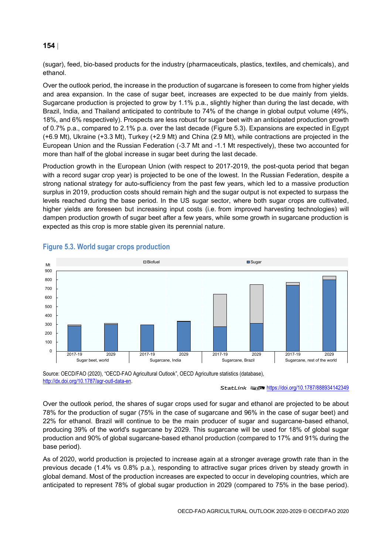(sugar), feed, bio-based products for the industry (pharmaceuticals, plastics, textiles, and chemicals), and ethanol.

Over the outlook period, the increase in the production of sugarcane is foreseen to come from higher yields and area expansion. In the case of sugar beet, increases are expected to be due mainly from yields. Sugarcane production is projected to grow by 1.1% p.a., slightly higher than during the last decade, with Brazil, India, and Thailand anticipated to contribute to 74% of the change in global output volume (49%, 18%, and 6% respectively). Prospects are less robust for sugar beet with an anticipated production growth of 0.7% p.a., compared to 2.1% p.a. over the last decade [\(Figure](#page-4-0) 5.3). Expansions are expected in Egypt (+6.9 Mt), Ukraine (+3.3 Mt), Turkey (+2.9 Mt) and China (2.9 Mt), while contractions are projected in the European Union and the Russian Federation (-3.7 Mt and -1.1 Mt respectively), these two accounted for more than half of the global increase in sugar beet during the last decade.

Production growth in the European Union (with respect to 2017-2019, the post-quota period that began with a record sugar crop year) is projected to be one of the lowest. In the Russian Federation, despite a strong national strategy for auto-sufficiency from the past few years, which led to a massive production surplus in 2019, production costs should remain high and the sugar output is not expected to surpass the levels reached during the base period. In the US sugar sector, where both sugar crops are cultivated, higher yields are foreseen but increasing input costs (i.e. from improved harvesting technologies) will dampen production growth of sugar beet after a few years, while some growth in sugarcane production is expected as this crop is more stable given its perennial nature.



# <span id="page-4-0"></span>**Figure 5.3. World sugar crops production**

Source: OECD/FAO (2020), "OECD-FAO Agricultural Outlook", OECD Agriculture statistics (database), [http://dx.doi.org/10.1787/agr-outl-data-en.](http://dx.doi.org/10.1787/agr-outl-data-en) 

StatLink **ansP** <https://doi.org/10.1787/888934142349>

Over the outlook period, the shares of sugar crops used for sugar and ethanol are projected to be about 78% for the production of sugar (75% in the case of sugarcane and 96% in the case of sugar beet) and 22% for ethanol. Brazil will continue to be the main producer of sugar and sugarcane-based ethanol, producing 39% of the world's sugarcane by 2029. This sugarcane will be used for 18% of global sugar production and 90% of global sugarcane-based ethanol production (compared to 17% and 91% during the base period).

As of 2020, world production is projected to increase again at a stronger average growth rate than in the previous decade (1.4% vs 0.8% p.a.), responding to attractive sugar prices driven by steady growth in global demand. Most of the production increases are expected to occur in developing countries, which are anticipated to represent 78% of global sugar production in 2029 (compared to 75% in the base period).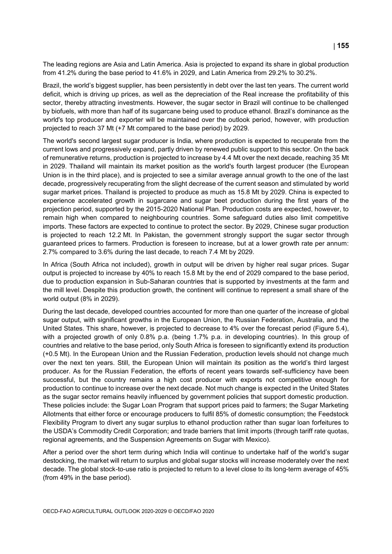The leading regions are Asia and Latin America. Asia is projected to expand its share in global production from 41.2% during the base period to 41.6% in 2029, and Latin America from 29.2% to 30.2%.

Brazil, the world's biggest supplier, has been persistently in debt over the last ten years. The current world deficit, which is driving up prices, as well as the depreciation of the Real increase the profitability of this sector, thereby attracting investments. However, the sugar sector in Brazil will continue to be challenged by biofuels, with more than half of its sugarcane being used to produce ethanol. Brazil's dominance as the world's top producer and exporter will be maintained over the outlook period, however, with production projected to reach 37 Mt (+7 Mt compared to the base period) by 2029.

The world's second largest sugar producer is India, where production is expected to recuperate from the current lows and progressively expand, partly driven by renewed public support to this sector. On the back of remunerative returns, production is projected to increase by 4.4 Mt over the next decade, reaching 35 Mt in 2029. Thailand will maintain its market position as the world's fourth largest producer (the European Union is in the third place), and is projected to see a similar average annual growth to the one of the last decade, progressively recuperating from the slight decrease of the current season and stimulated by world sugar market prices. Thailand is projected to produce as much as 15.8 Mt by 2029. China is expected to experience accelerated growth in sugarcane and sugar beet production during the first years of the projection period, supported by the 2015-2020 National Plan. Production costs are expected, however, to remain high when compared to neighbouring countries. Some safeguard duties also limit competitive imports. These factors are expected to continue to protect the sector. By 2029, Chinese sugar production is projected to reach 12.2 Mt. In Pakistan, the government strongly support the sugar sector through guaranteed prices to farmers. Production is foreseen to increase, but at a lower growth rate per annum: 2.7% compared to 3.6% during the last decade, to reach 7.4 Mt by 2029.

In Africa (South Africa not included), growth in output will be driven by higher real sugar prices. Sugar output is projected to increase by 40% to reach 15.8 Mt by the end of 2029 compared to the base period, due to production expansion in Sub-Saharan countries that is supported by investments at the farm and the mill level. Despite this production growth, the continent will continue to represent a small share of the world output (8% in 2029).

During the last decade, developed countries accounted for more than one quarter of the increase of global sugar output, with significant growths in the European Union, the Russian Federation, Australia, and the United States. This share, however, is projected to decrease to 4% over the forecast period [\(Figure](#page-6-0) 5.4), with a projected growth of only 0.8% p.a. (being 1.7% p.a. in developing countries). In this group of countries and relative to the base period, only South Africa is foreseen to significantly extend its production (+0.5 Mt). In the European Union and the Russian Federation, production levels should not change much over the next ten years. Still, the European Union will maintain its position as the world's third largest producer. As for the Russian Federation, the efforts of recent years towards self-sufficiency have been successful, but the country remains a high cost producer with exports not competitive enough for production to continue to increase over the next decade. Not much change is expected in the United States as the sugar sector remains heavily influenced by government policies that support domestic production. These policies include: the Sugar Loan Program that support prices paid to farmers; the Sugar Marketing Allotments that either force or encourage producers to fulfil 85% of domestic consumption; the Feedstock Flexibility Program to divert any sugar surplus to ethanol production rather than sugar loan forfeitures to the USDA's Commodity Credit Corporation; and trade barriers that limit imports (through tariff rate quotas, regional agreements, and the Suspension Agreements on Sugar with Mexico).

After a period over the short term during which India will continue to undertake half of the world's sugar destocking, the market will return to surplus and global sugar stocks will increase moderately over the next decade. The global stock-to-use ratio is projected to return to a level close to its long-term average of 45% (from 49% in the base period).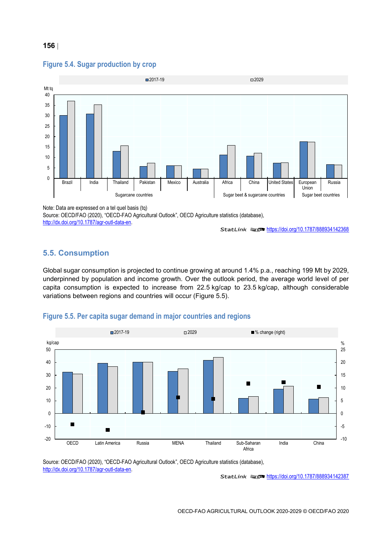

### <span id="page-6-0"></span>**Figure 5.4. Sugar production by crop**

Note: Data are expressed on a tel quel basis (tq)

Source: OECD/FAO (2020), "OECD-FAO Agricultural Outlook", OECD Agriculture statistics (database),

[http://dx.doi.org/10.1787/agr-outl-data-en.](http://dx.doi.org/10.1787/agr-outl-data-en) 

StatLink 2<https://doi.org/10.1787/888934142368>

# **5.5. Consumption**

Global sugar consumption is projected to continue growing at around 1.4% p.a., reaching 199 Mt by 2029, underpinned by population and income growth. Over the outlook period, the average world level of per capita consumption is expected to increase from 22.5 kg/cap to 23.5 kg/cap, although considerable variations between regions and countries will occur [\(Figure](#page-6-1) 5.5).

## <span id="page-6-1"></span>**Figure 5.5. Per capita sugar demand in major countries and regions**



Source: OECD/FAO (2020), "OECD-FAO Agricultural Outlook", OECD Agriculture statistics (database), [http://dx.doi.org/10.1787/agr-outl-data-en.](http://dx.doi.org/10.1787/agr-outl-data-en) 

StatLink 2<https://doi.org/10.1787/888934142387>

### **156**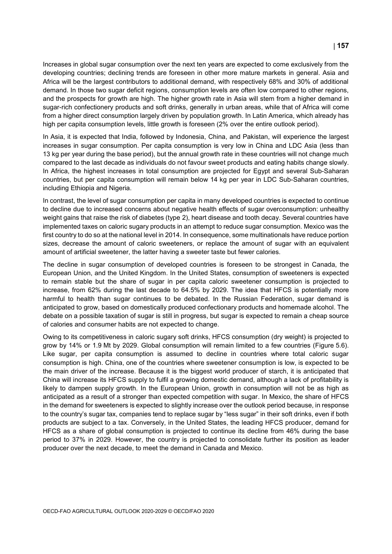Increases in global sugar consumption over the next ten years are expected to come exclusively from the developing countries; declining trends are foreseen in other more mature markets in general. Asia and Africa will be the largest contributors to additional demand, with respectively 68% and 30% of additional demand. In those two sugar deficit regions, consumption levels are often low compared to other regions, and the prospects for growth are high. The higher growth rate in Asia will stem from a higher demand in sugar-rich confectionery products and soft drinks, generally in urban areas, while that of Africa will come from a higher direct consumption largely driven by population growth. In Latin America, which already has high per capita consumption levels, little growth is foreseen (2% over the entire outlook period).

In Asia, it is expected that India, followed by Indonesia, China, and Pakistan, will experience the largest increases in sugar consumption. Per capita consumption is very low in China and LDC Asia (less than 13 kg per year during the base period), but the annual growth rate in these countries will not change much compared to the last decade as individuals do not favour sweet products and eating habits change slowly. In Africa, the highest increases in total consumption are projected for Egypt and several Sub-Saharan countries, but per capita consumption will remain below 14 kg per year in LDC Sub-Saharan countries, including Ethiopia and Nigeria.

In contrast, the level of sugar consumption per capita in many developed countries is expected to continue to decline due to increased concerns about negative health effects of sugar overconsumption: unhealthy weight gains that raise the risk of diabetes (type 2), heart disease and tooth decay. Several countries have implemented taxes on caloric sugary products in an attempt to reduce sugar consumption. Mexico was the first country to do so at the national level in 2014. In consequence, some multinationals have reduce portion sizes, decrease the amount of caloric sweeteners, or replace the amount of sugar with an equivalent amount of artificial sweetener, the latter having a sweeter taste but fewer calories.

The decline in sugar consumption of developed countries is foreseen to be strongest in Canada, the European Union, and the United Kingdom. In the United States, consumption of sweeteners is expected to remain stable but the share of sugar in per capita caloric sweetener consumption is projected to increase, from 62% during the last decade to 64.5% by 2029. The idea that HFCS is potentially more harmful to health than sugar continues to be debated. In the Russian Federation, sugar demand is anticipated to grow, based on domestically produced confectionary products and homemade alcohol. The debate on a possible taxation of sugar is still in progress, but sugar is expected to remain a cheap source of calories and consumer habits are not expected to change.

Owing to its competitiveness in caloric sugary soft drinks, HFCS consumption (dry weight) is projected to grow by 14% or 1.9 Mt by 2029. Global consumption will remain limited to a few countries [\(Figure](#page-8-0) 5.6). Like sugar, per capita consumption is assumed to decline in countries where total caloric sugar consumption is high. China, one of the countries where sweetener consumption is low, is expected to be the main driver of the increase. Because it is the biggest world producer of starch, it is anticipated that China will increase its HFCS supply to fulfil a growing domestic demand, although a lack of profitability is likely to dampen supply growth. In the European Union, growth in consumption will not be as high as anticipated as a result of a stronger than expected competition with sugar. In Mexico, the share of HFCS in the demand for sweeteners is expected to slightly increase over the outlook period because, in response to the country's sugar tax, companies tend to replace sugar by "less sugar" in their soft drinks, even if both products are subject to a tax. Conversely, in the United States, the leading HFCS producer, demand for HFCS as a share of global consumption is projected to continue its decline from 46% during the base period to 37% in 2029. However, the country is projected to consolidate further its position as leader producer over the next decade, to meet the demand in Canada and Mexico.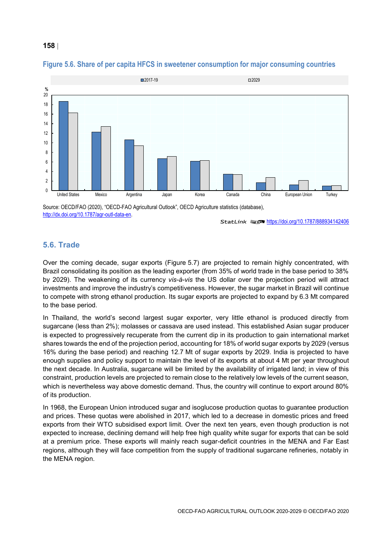

### <span id="page-8-0"></span>**Figure 5.6. Share of per capita HFCS in sweetener consumption for major consuming countries**

Source: OECD/FAO (2020), "OECD-FAO Agricultural Outlook", OECD Agriculture statistics (database), [http://dx.doi.org/10.1787/agr-outl-data-en.](http://dx.doi.org/10.1787/agr-outl-data-en) 

StatLink **2010** <https://doi.org/10.1787/888934142406>

### **5.6. Trade**

Over the coming decade, sugar exports [\(Figure](#page-9-0) 5.7) are projected to remain highly concentrated, with Brazil consolidating its position as the leading exporter (from 35% of world trade in the base period to 38% by 2029). The weakening of its currency *vis-à-vis* the US dollar over the projection period will attract investments and improve the industry's competitiveness. However, the sugar market in Brazil will continue to compete with strong ethanol production. Its sugar exports are projected to expand by 6.3 Mt compared to the base period.

In Thailand, the world's second largest sugar exporter, very little ethanol is produced directly from sugarcane (less than 2%); molasses or cassava are used instead. This established Asian sugar producer is expected to progressively recuperate from the current dip in its production to gain international market shares towards the end of the projection period, accounting for 18% of world sugar exports by 2029 (versus 16% during the base period) and reaching 12.7 Mt of sugar exports by 2029. India is projected to have enough supplies and policy support to maintain the level of its exports at about 4 Mt per year throughout the next decade. In Australia, sugarcane will be limited by the availability of irrigated land; in view of this constraint, production levels are projected to remain close to the relatively low levels of the current season, which is nevertheless way above domestic demand. Thus, the country will continue to export around 80% of its production.

In 1968, the European Union introduced sugar and isoglucose production quotas to guarantee production and prices. These quotas were abolished in 2017, which led to a decrease in domestic prices and freed exports from their WTO subsidised export limit. Over the next ten years, even though production is not expected to increase, declining demand will help free high quality white sugar for exports that can be sold at a premium price. These exports will mainly reach sugar-deficit countries in the MENA and Far East regions, although they will face competition from the supply of traditional sugarcane refineries, notably in the MENA region.

#### **158**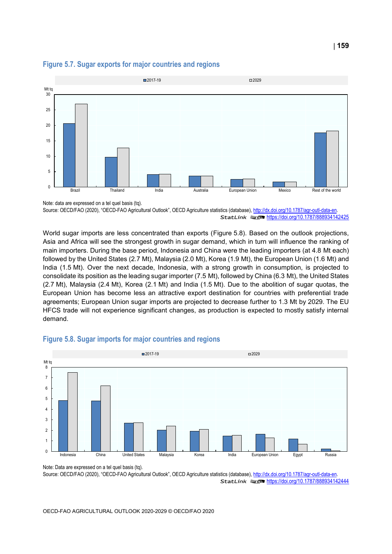

# <span id="page-9-0"></span>**Figure 5.7. Sugar exports for major countries and regions**

Note: data are expressed on a tel quel basis (tq). Source: OECD/FAO (2020), "OECD-FAO Agricultural Outlook", OECD Agriculture statistics (database), http://dx.doi.org/10.1787/agr-outl-data-en. StatLink **2012** <https://doi.org/10.1787/888934142425>

World sugar imports are less concentrated than exports [\(Figure](#page-9-1) 5.8). Based on the outlook projections, Asia and Africa will see the strongest growth in sugar demand, which in turn will influence the ranking of main importers. During the base period, Indonesia and China were the leading importers (at 4.8 Mt each) followed by the United States (2.7 Mt), Malaysia (2.0 Mt), Korea (1.9 Mt), the European Union (1.6 Mt) and India (1.5 Mt). Over the next decade, Indonesia, with a strong growth in consumption, is projected to consolidate its position as the leading sugar importer (7.5 Mt), followed by China (6.3 Mt), the United States (2.7 Mt), Malaysia (2.4 Mt), Korea (2.1 Mt) and India (1.5 Mt). Due to the abolition of sugar quotas, the European Union has become less an attractive export destination for countries with preferential trade agreements; European Union sugar imports are projected to decrease further to 1.3 Mt by 2029. The EU HFCS trade will not experience significant changes, as production is expected to mostly satisfy internal demand.



## <span id="page-9-1"></span>**Figure 5.8. Sugar imports for major countries and regions**

Note: Data are expressed on a tel quel basis (tq). Source: OECD/FAO (2020), "OECD-FAO Agricultural Outlook", OECD Agriculture statistics (database), http://dx.doi.org/10.1787/agr-outl-data-en.

StatLink 2<https://doi.org/10.1787/888934142444>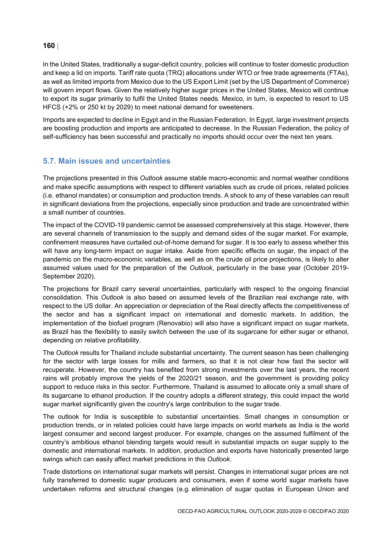In the United States, traditionally a sugar-deficit country, policies will continue to foster domestic production and keep a lid on imports. Tariff rate quota (TRQ) allocations under WTO or free trade agreements (FTAs), as well as limited imports from Mexico due to the US Export Limit (set by the US Department of Commerce) will govern import flows. Given the relatively higher sugar prices in the United States, Mexico will continue to export its sugar primarily to fulfil the United States needs. Mexico, in turn, is expected to resort to US HFCS (+2% or 250 kt by 2029) to meet national demand for sweeteners.

Imports are expected to decline in Egypt and in the Russian Federation. In Egypt, large investment projects are boosting production and imports are anticipated to decrease. In the Russian Federation, the policy of self-sufficiency has been successful and practically no imports should occur over the next ten years.

# **5.7. Main issues and uncertainties**

The projections presented in this *Outlook* assume stable macro-economic and normal weather conditions and make specific assumptions with respect to different variables such as crude oil prices, related policies (i.e. ethanol mandates) or consumption and production trends. A shock to any of these variables can result in significant deviations from the projections, especially since production and trade are concentrated within a small number of countries.

The impact of the COVID-19 pandemic cannot be assessed comprehensively at this stage. However, there are several channels of transmission to the supply and demand sides of the sugar market. For example, confinement measures have curtailed out-of-home demand for sugar. It is too early to assess whether this will have any long-term impact on sugar intake. Aside from specific effects on sugar, the impact of the pandemic on the macro-economic variables, as well as on the crude oil price projections, is likely to alter assumed values used for the preparation of the *Outlook*, particularly in the base year (October 2019- September 2020).

The projections for Brazil carry several uncertainties, particularly with respect to the ongoing financial consolidation. This *Outlook* is also based on assumed levels of the Brazilian real exchange rate, with respect to the US dollar. An appreciation or depreciation of the Real directly affects the competitiveness of the sector and has a significant impact on international and domestic markets. In addition, the implementation of the biofuel program (Renovabio) will also have a significant impact on sugar markets, as Brazil has the flexibility to easily switch between the use of its sugarcane for either sugar or ethanol, depending on relative profitability.

The *Outlook* results for Thailand include substantial uncertainty. The current season has been challenging for the sector with large losses for mills and farmers, so that it is not clear how fast the sector will recuperate. However, the country has benefited from strong investments over the last years, the recent rains will probably improve the yields of the 2020/21 season, and the government is providing policy support to reduce risks in this sector. Furthermore, Thailand is assumed to allocate only a small share of its sugarcane to ethanol production. If the country adopts a different strategy, this could impact the world sugar market significantly given the country's large contribution to the sugar trade.

The outlook for India is susceptible to substantial uncertainties. Small changes in consumption or production trends, or in related policies could have large impacts on world markets as India is the world largest consumer and second largest producer. For example, changes on the assumed fulfilment of the country's ambitious ethanol blending targets would result in substantial impacts on sugar supply to the domestic and international markets. In addition, production and exports have historically presented large swings which can easily affect market predictions in this *Outlook*.

Trade distortions on international sugar markets will persist. Changes in international sugar prices are not fully transferred to domestic sugar producers and consumers, even if some world sugar markets have undertaken reforms and structural changes (e.g. elimination of sugar quotas in European Union and